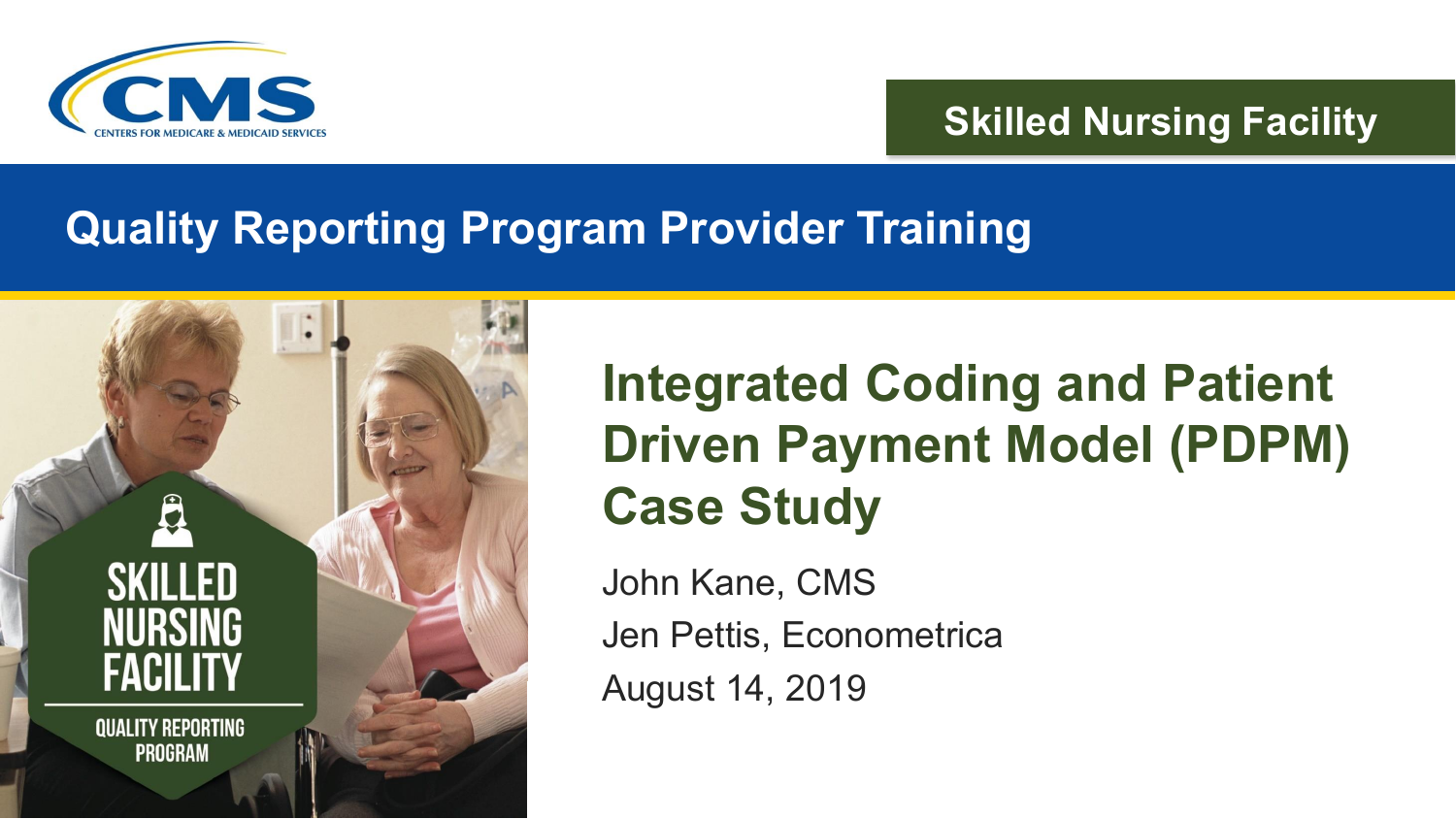

#### **Skilled Nursing Facility**

#### **Quality Reporting Program Provider Training**



#### **Integrated Coding and Patient Driven Payment Model (PDPM) Case Study**

John Kane, CMS Jen Pettis, Econometrica August 14, 2019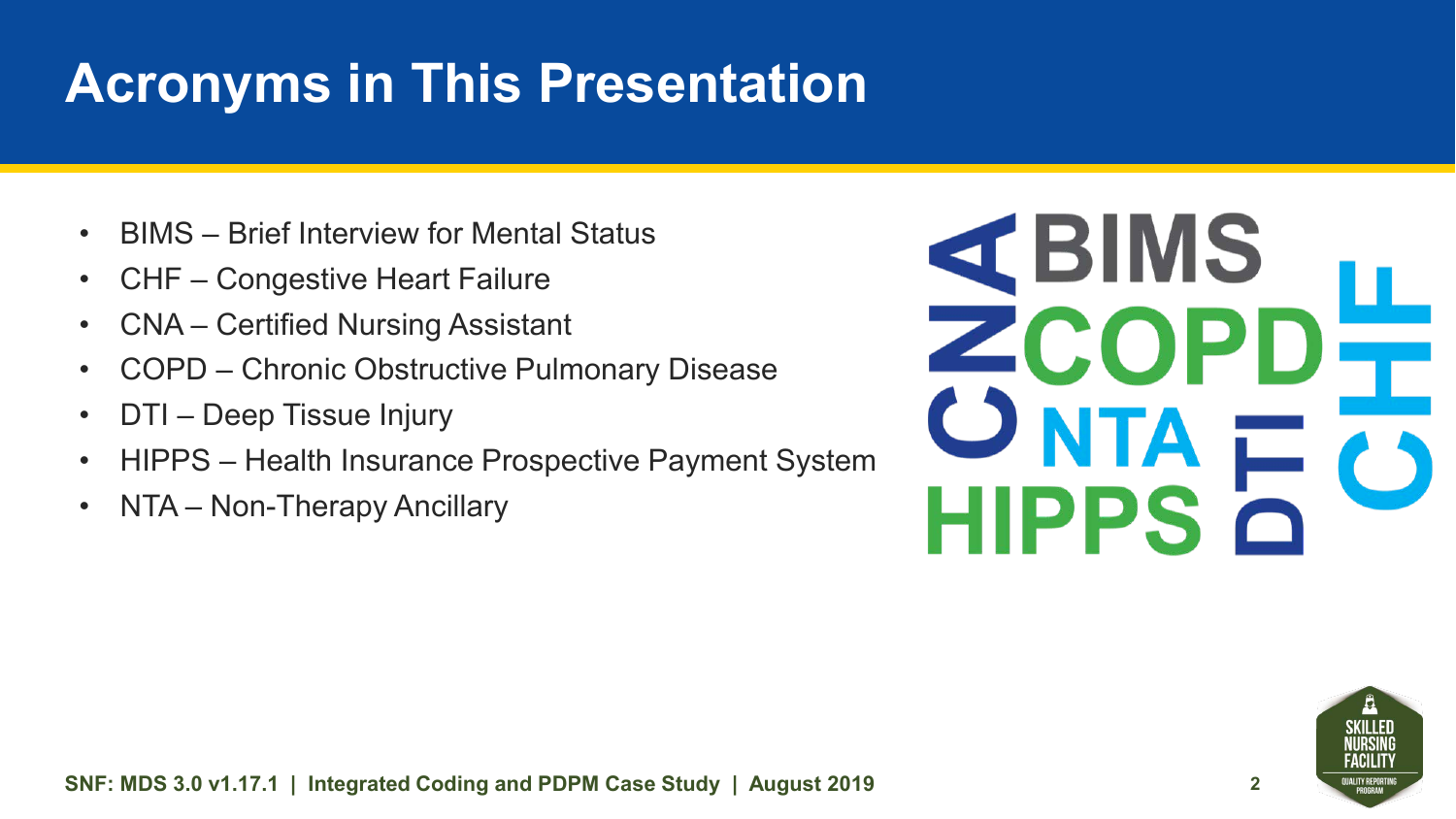### **Acronyms in This Presentation**

- BIMS Brief Interview for Mental Status
- CHF Congestive Heart Failure
- CNA Certified Nursing Assistant
- COPD Chronic Obstructive Pulmonary Disease
- DTI Deep Tissue Injury
- HIPPS Health Insurance Prospective Payment System
- NTA Non-Therapy Ancillary



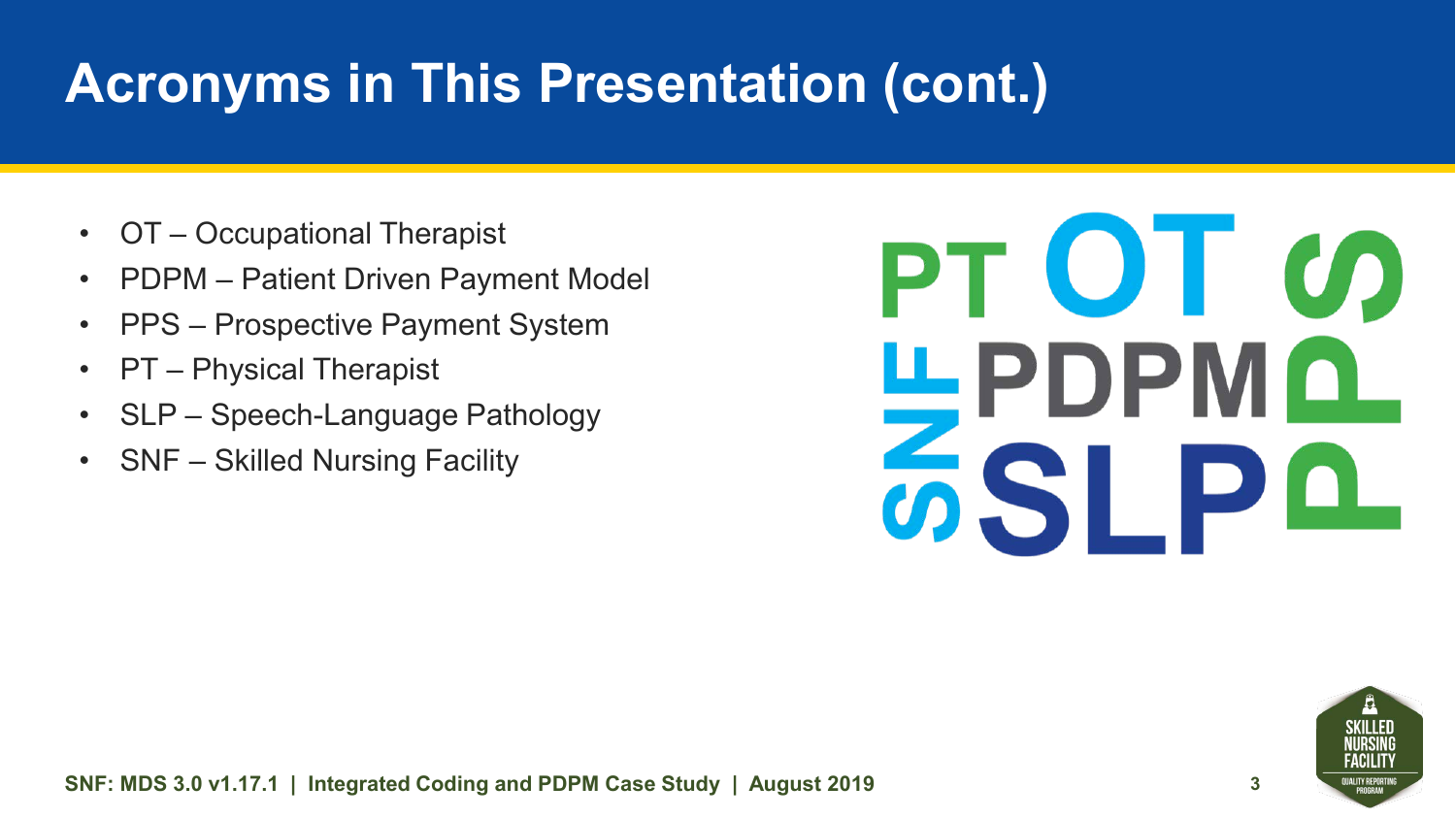## **Acronyms in This Presentation (cont.)**

- OT Occupational Therapist
- PDPM Patient Driven Payment Model
- PPS Prospective Payment System
- PT Physical Therapist
- SLP Speech-Language Pathology
- SNF Skilled Nursing Facility

# PT OT CO <u>ЩРDРМО</u> **ZSLPQ**

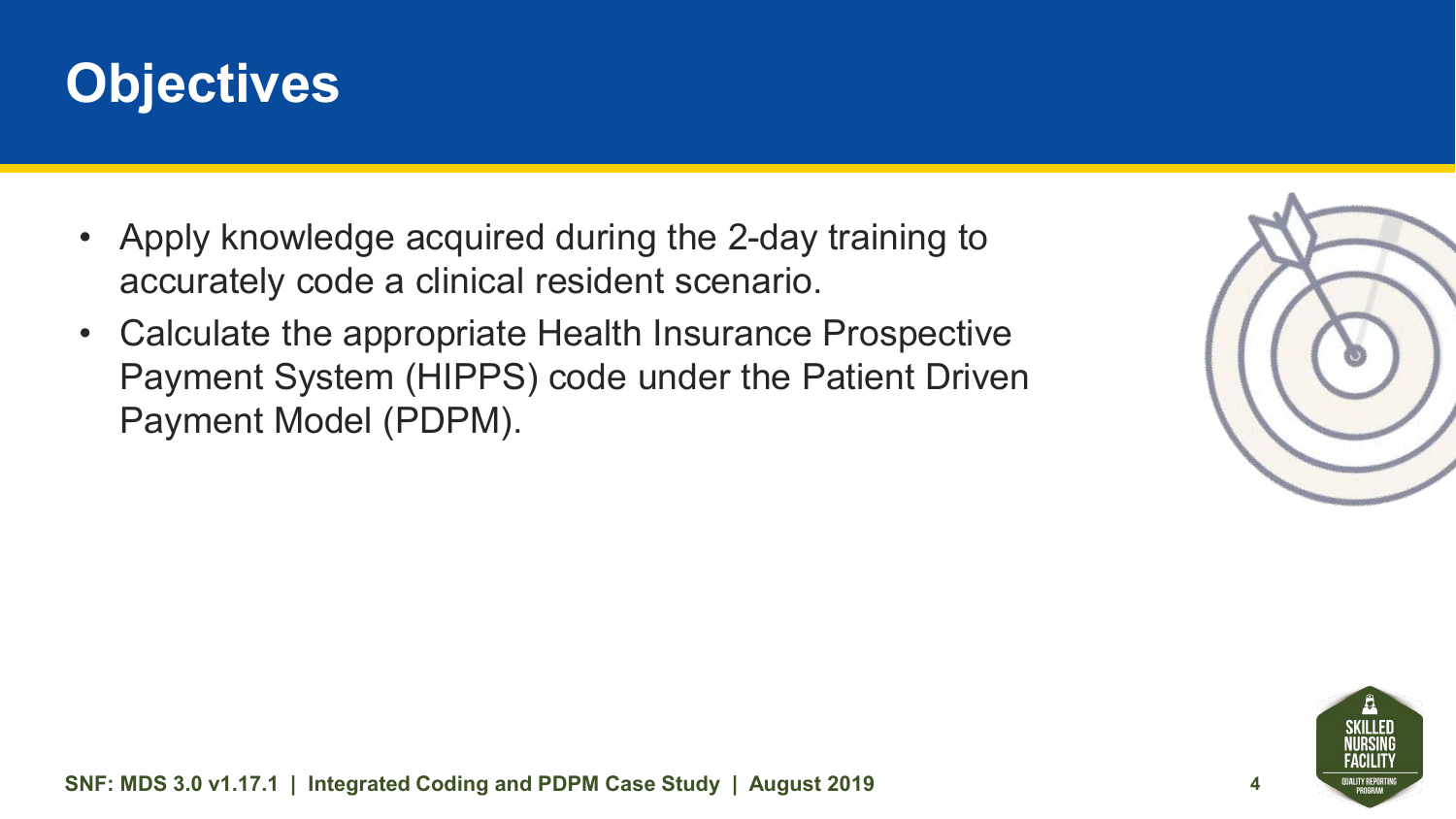

- Apply knowledge acquired during the 2-day training to accurately code a clinical resident scenario.
- Calculate the appropriate Health Insurance Prospective Payment System (HIPPS) code under the Patient Driven Payment Model (PDPM).



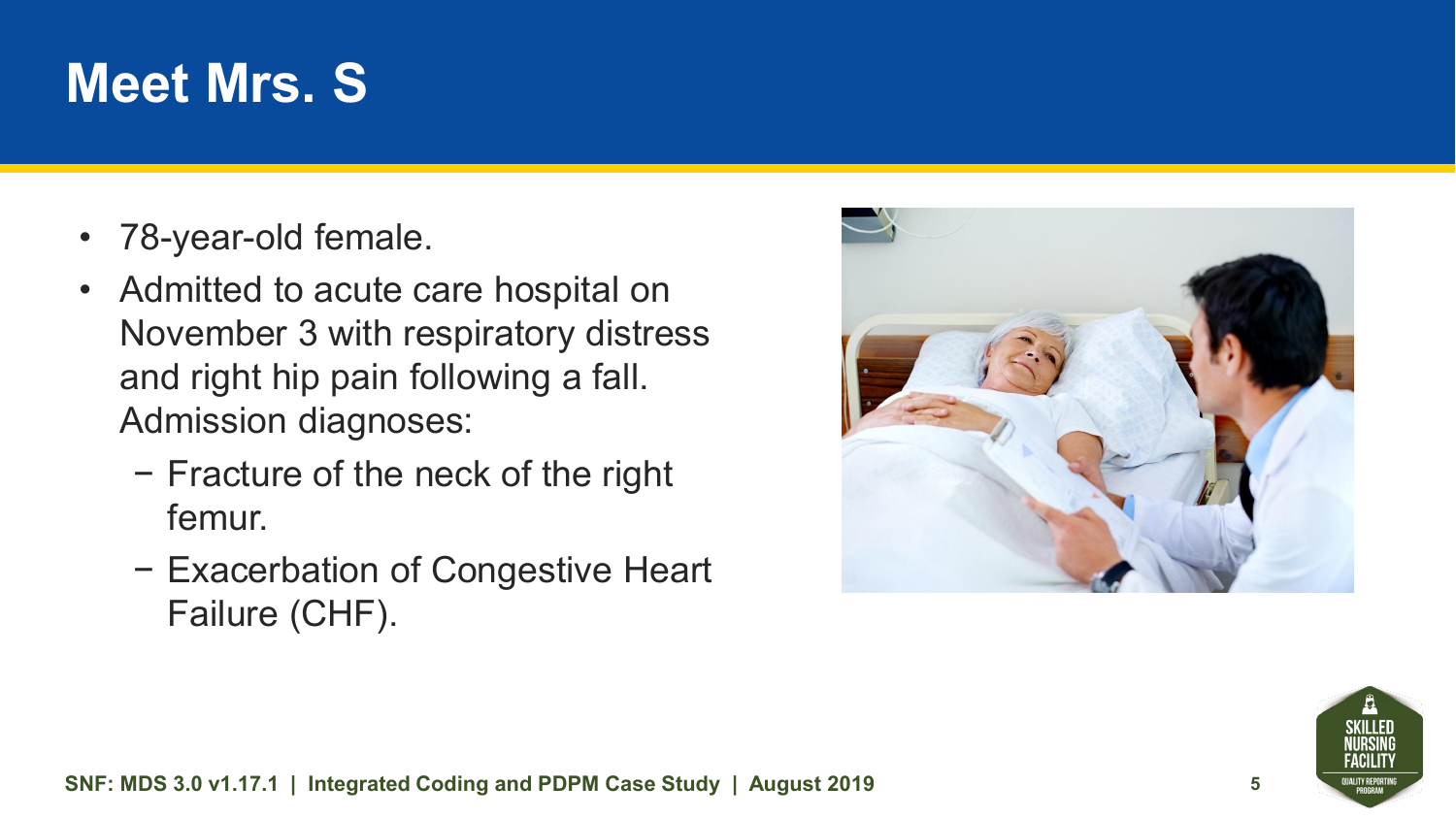#### **Meet Mrs. S**

- 78-year-old female.
- Admitted to acute care hospital on November 3 with respiratory distress and right hip pain following a fall. Admission diagnoses:
	- − Fracture of the neck of the right femur.
	- − Exacerbation of Congestive Heart Failure (CHF).



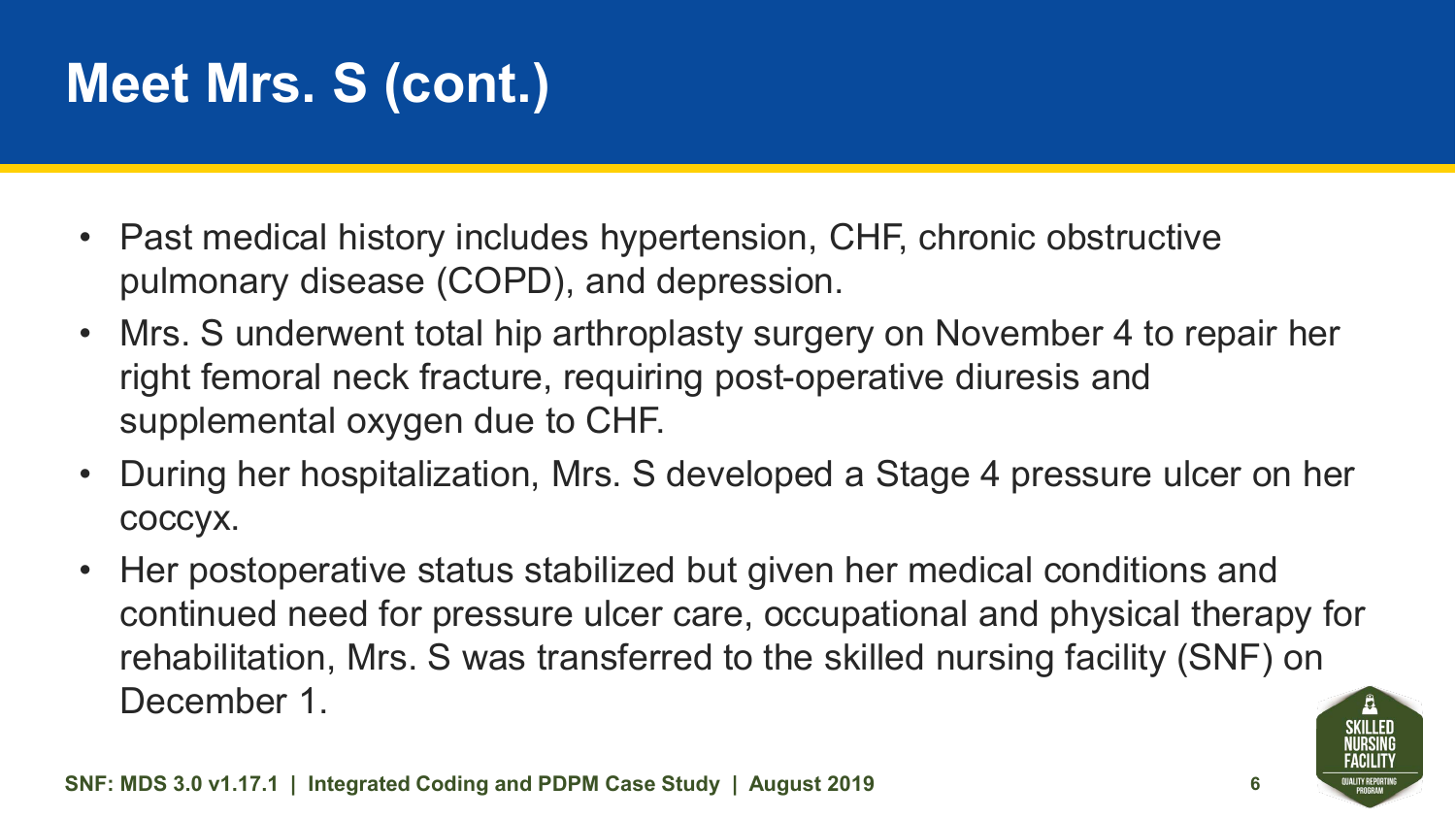## **Meet Mrs. S (cont.)**

- Past medical history includes hypertension, CHF, chronic obstructive pulmonary disease (COPD), and depression.
- Mrs. S underwent total hip arthroplasty surgery on November 4 to repair her right femoral neck fracture, requiring post-operative diuresis and supplemental oxygen due to CHF.
- During her hospitalization, Mrs. S developed a Stage 4 pressure ulcer on her coccyx.
- Her postoperative status stabilized but given her medical conditions and continued need for pressure ulcer care, occupational and physical therapy for rehabilitation, Mrs. S was transferred to the skilled nursing facility (SNF) on December 1.

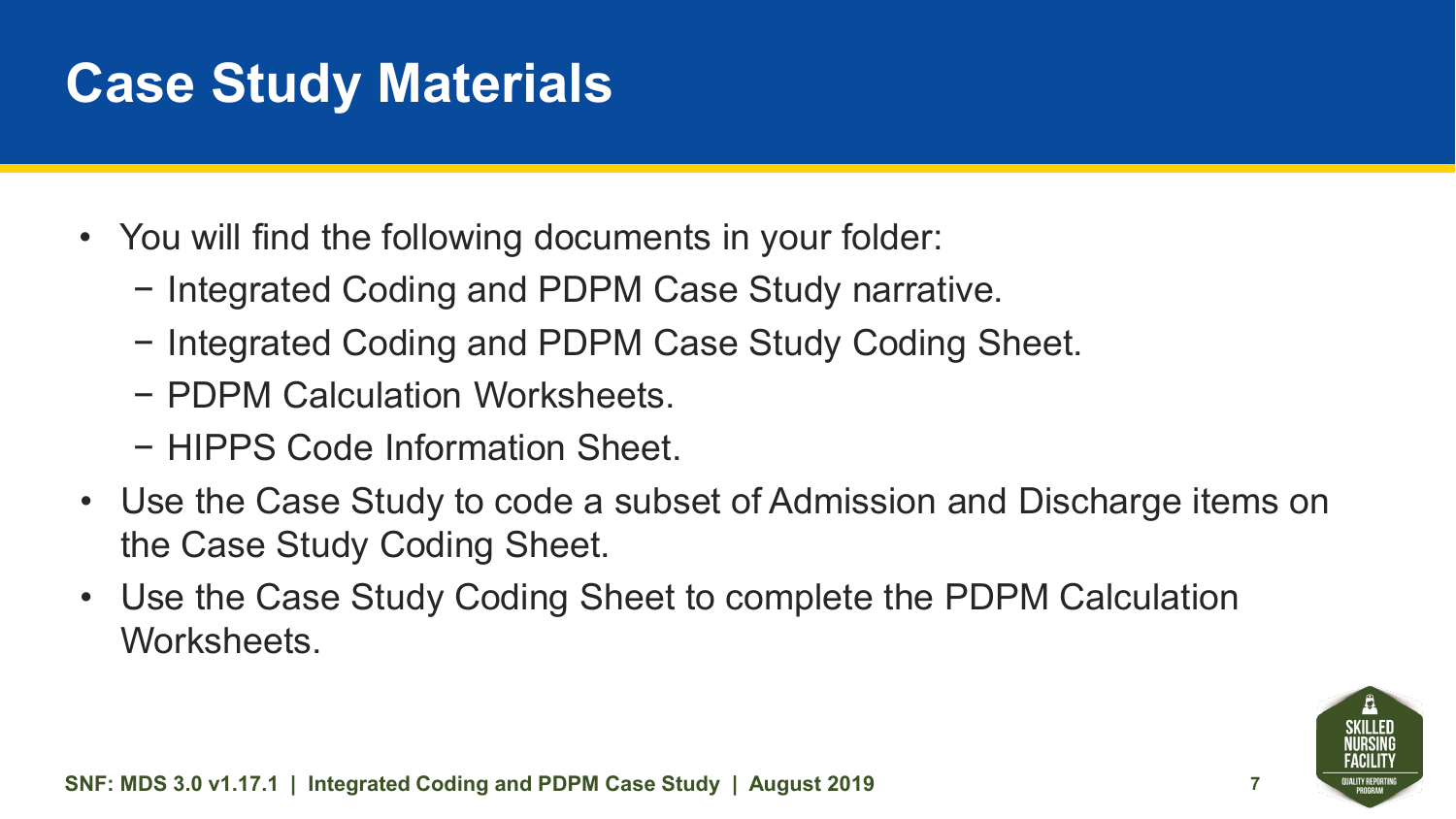#### **Case Study Materials**

- You will find the following documents in your folder:
	- − Integrated Coding and PDPM Case Study narrative.
	- − Integrated Coding and PDPM Case Study Coding Sheet.
	- − PDPM Calculation Worksheets.
	- − HIPPS Code Information Sheet.
- Use the Case Study to code a subset of Admission and Discharge items on the Case Study Coding Sheet.
- Use the Case Study Coding Sheet to complete the PDPM Calculation Worksheets.

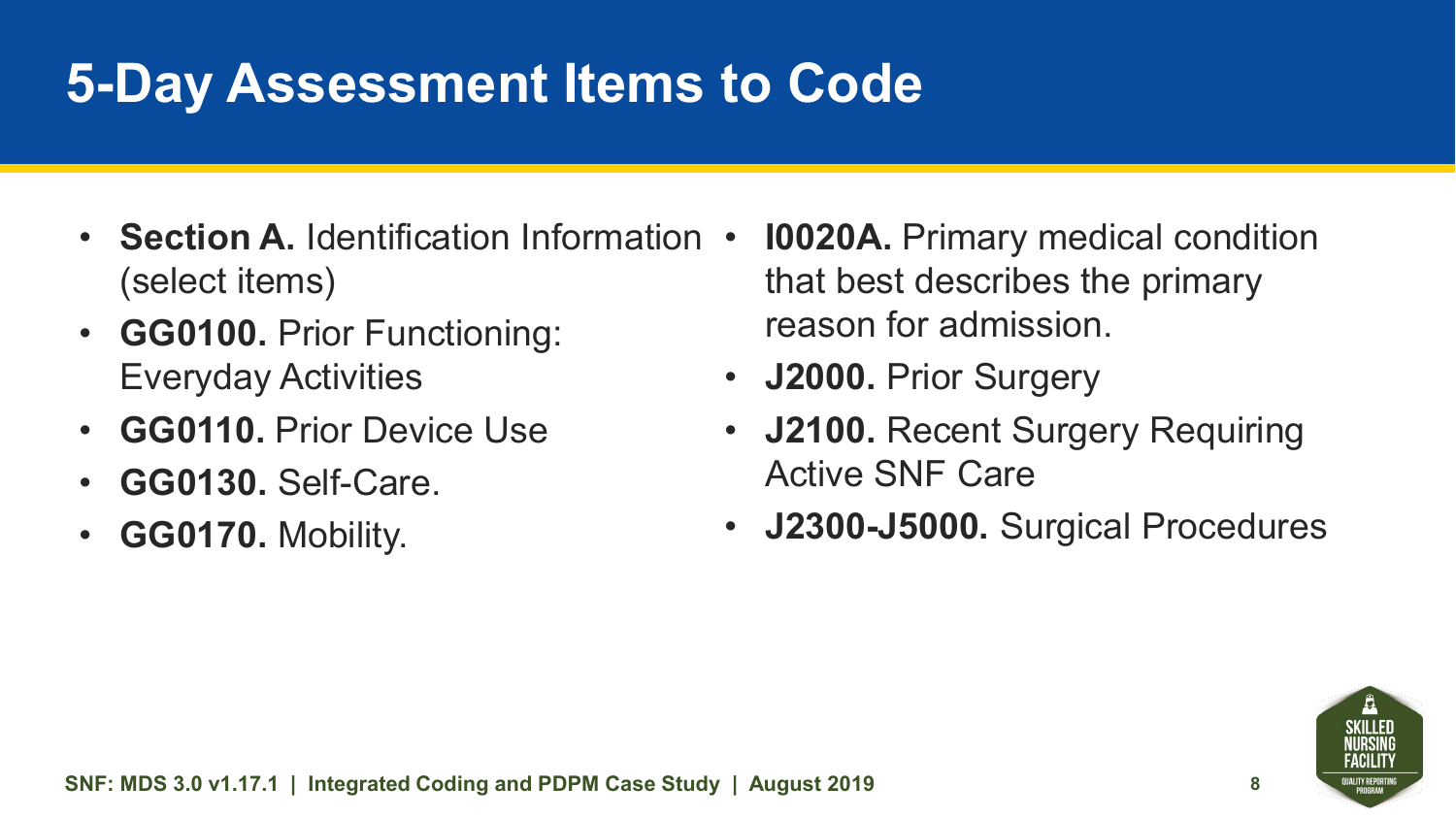#### **5-Day Assessment Items to Code**

- **Section A.** Identification Information (select items)
- **GG0100.** Prior Functioning: Everyday Activities
- **GG0110.** Prior Device Use
- **GG0130. Self-Care.**
- **GG0170.** Mobility.
- **10020A.** Primary medical condition that best describes the primary reason for admission.
- **J2000.** Prior Surgery
- **J2100.** Recent Surgery Requiring Active SNF Care
- **J2300-J5000.** Surgical Procedures

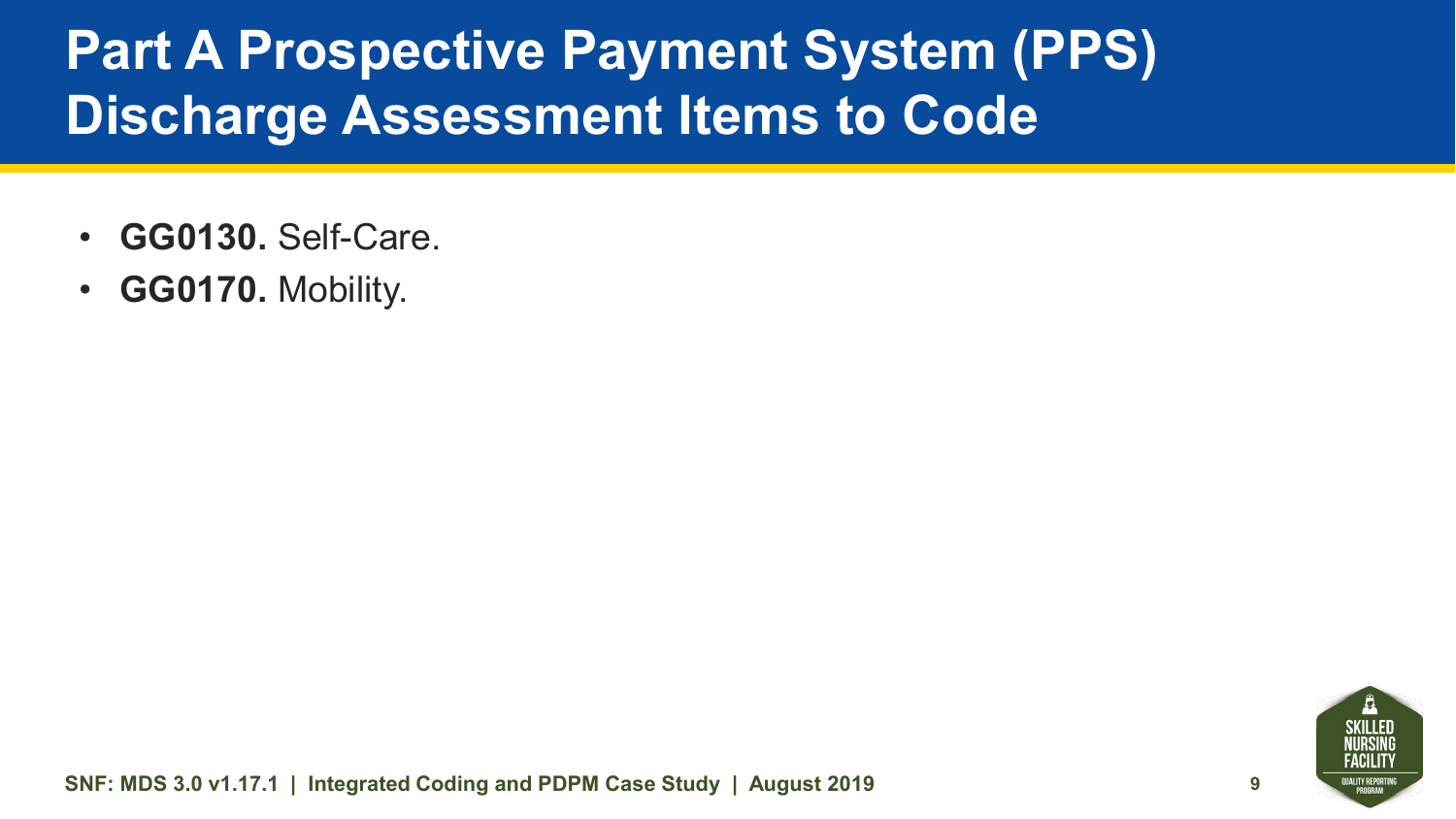#### **Part A Prospective Payment System (PPS) Discharge Assessment Items to Code**

- **GG0130.** Self-Care.
- **GG0170.** Mobility.